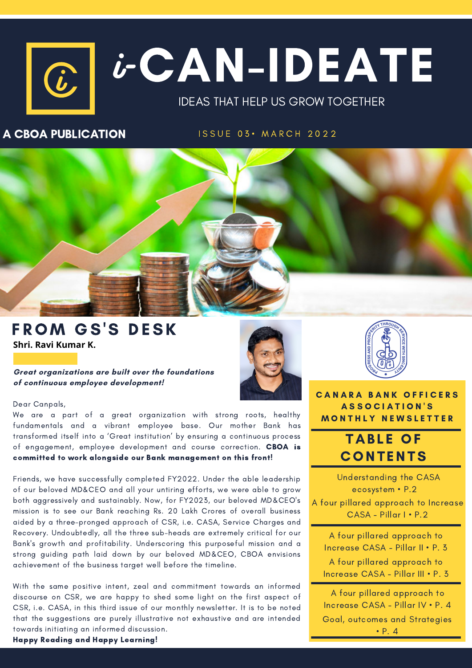# $\boxed{c}$   $i$  -  $C$   $\Lambda$   $N$  –  $ID$   $E$   $\Lambda$   $T$   $E$ IDEAS THAT HELP US GROW TOGETHER  $\bm{\dot{b}}^ \widehat{u}$

### A CBOA PUBLICATION

ISSUE 03. MARCH 2022



### FROM GS'S DESK **Shri. Ravi Kumar K.**

**Great organizations are built over the foundations of continuous employee development!**



We are a part of a great organization with strong roots, healthy fundamentals and a vibrant employee base. Our mother Bank has transformed itself into a 'Great institution' by ensuring a continuous process of engagement, employee development and course correction. CBOA is committed to work alongside our Bank management on this front!

Friends, we have successfully completed FY2022. Under the able leadership of our beloved MD&CEO and all your untiring efforts, we were able to grow both aggressively and sustainably. Now, for FY2023, our beloved MD&CEO's mission is to see our Bank reaching Rs. 20 Lakh Crores of overall business aided by a three-pronged approach of CSR, i.e. CASA, Service Charges and Recovery. Undoubtedly, all the three sub-heads are extremely critical for our Bank's growth and profitability. Underscoring this purposeful mission and a strong guiding path laid down by our beloved MD&CEO, CBOA envisions achievement of the business target well before the timeline.

With the same positive intent, zeal and commitment towards an informed discourse on CSR, we are happy to shed some light on the first aspect of CSR, i.e. CASA, in this third issue of our monthly newsletter. It is to be noted that the suggestions are purely illustrative not exhaustive and are intended towards initiating an informed discussion.





**CANARA BANK OFFICERS** A S S O C I A T I O N ' S **MONTHLY NEWSLETTER** 

### **TABLE OF CONTENTS**

Understanding the CASA ecosystem • P.2 A four pillared approach to Increase CASA - Pillar I • P.2

A four pillared approach to Increase CASA - Pillar II • P. 3 A four pillared approach to Increase CASA - Pillar III • P. 3

A four pillared approach to Increase CASA - Pillar IV • P. 4 Goal, outcomes and Strategies • P. 4

Happy Reading and Happy Learning!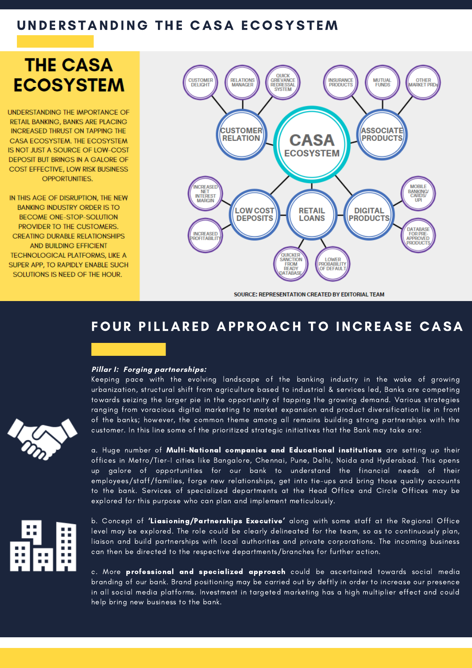### UNDERSTANDING THE CASA ECOSYSTEM

# **THE CASA ECOSYSTEM**

**UNDERSTANDING THE IMPORTANCE OF RETAIL BANKING, BANKS ARE PLACING INCREASED THRUST ON TAPPING THE** CASA ECOSYSTEM. THE ECOSYSTEM IS NOT JUST A SOURCE OF LOW-COST DEPOSIT BUT BRINGS IN A GALORE OF COST EFFECTIVE, LOW RISK BUSINESS **OPPORTUNITIES.** 

IN THIS AGE OF DISRUPTION. THE NEW **BANKING INDUSTRY ORDER IS TO BECOME ONE-STOP-SOLUTION** PROVIDER TO THE CUSTOMERS. **CREATING DURABLE RELATIONSHIPS AND BUILDING EFFICIENT TECHNOLOGICAL PLATFORMS, LIKE A** SUPER APP, TO RAPIDLY ENABLE SUCH SOLUTIONS IS NEED OF THE HOUR.



SOURCE: REPRESENTATION CREATED BY EDITORIAL TEAM

### FOUR PILLARED APPROACH TO INCREASE CASA

#### **Pillar I: Forging partnerships:**

Keeping pace with the evolving landscape of the banking industry in the wake of growing urbanization, structural shift from agriculture based to industrial & services led, Banks are competing towards seizing the larger pie in the opportunity of tapping the growing demand. Various strategies ranging from voracious digital marketing to market expansion and product diversification lie in front of the banks; however, the common theme among all remains building strong partnerships with the customer. In this line some of the prioritized strategic initiatives that the Bank may take are:

a. Huge number of Multi-National companies and Educational institutions are setting up their offices in Metro/Tier-I cities like Bangalore, Chennai, Pune, Delhi, Noida and Hyderabad. This opens up galore of opportunities for our bank to understand the financial needs of their employees/staff/families, forge new relationships, get into tie-ups and bring those quality accounts to the bank. Services of specialized departments at the Head Office and Circle Offices may be explored for this purpose who can plan and implement meticulously.



b. Concept of 'Liasioning/Partnerships Executive' along with some staff at the Regional Office level may be explored. The role could be clearly delineated for the team, so as to continuously plan, liaison and build partnerships with local authorities and private corporations. The incoming business can then be directed to the respective departments/branches for further action.

c. More professional and specialized approach could be ascertained towards social media branding of our bank. Brand positioning may be carried out by deftly in order to increase our presence in all social media platforms. Investment in targeted marketing has a high multiplier effect and could help bring new business to the bank.

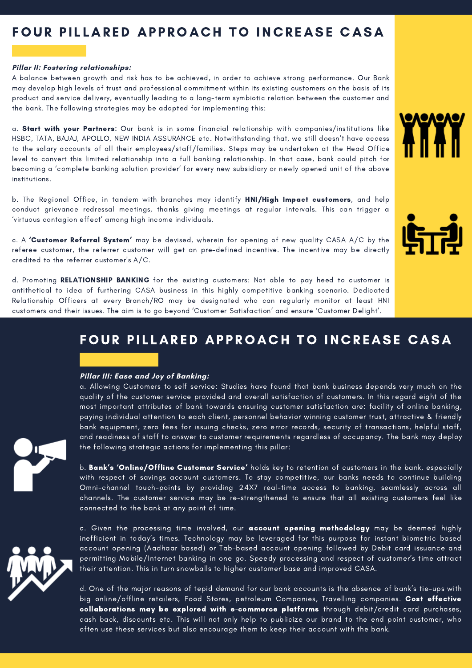## FOUR PILLARED APPROACH TO INCREASE CASA

#### **Pillar II: Fostering relationships:**

A balance between growth and risk has to be achieved, in order to achieve strong performance. Our Bank may develop high levels of trust and professional commitment within its existing customers on the basis of its product and service delivery, eventually leading to a long-term symbiotic relation between the customer and the bank. The following strategies may be adopted for implementing this:

a. Start with your Partners: Our bank is in some financial relationship with companies/institutions like HSBC, TATA, BAJAJ, APOLLO, NEW INDIA ASSURANCE etc. Notwithstanding that, we still doesn't have access to the salary accounts of all their employees/staff/families. Steps may be undertaken at the Head Office level to convert this limited relationship into a full banking relationship. In that case, bank could pitch for becoming a 'complete banking solution provider' for every new subsidiary or newly opened unit of the above institutions.

b. The Regional Office, in tandem with branches may identify HNI/High Impact customers, and help conduct grievance redressal meetings, thanks giving meetings at regular intervals. This can trigger a 'virtuous contagion effect' among high income individuals.

c. A 'Customer Referral System' may be devised, wherein for opening of new quality CASA A/C by the referee customer, the referrer customer will get an pre-defined incentive. The incentive may be directly credited to the referrer customer's A/C.

d. Promoting RELATIONSHIP BANKING for the existing customers: Not able to pay heed to customer is antithetical to idea of furthering CASA business in this highly competitive banking scenario. Dedicated Relationship Officers at every Branch/RO may be designated who can regularly monitor at least HNI customers and their issues. The aim is to go beyond 'Customer Satisfaction' and ensure 'Customer Delight'.

### FOUR PILLARED APPROACH TO INCREASE CASA

#### **Pillar III: Ease and Joy of Banking:**

a. Allowing Customers to self service: Studies have found that bank business depends very much on the quality of the customer service provided and overall satisfaction of customers. In this regard eight of the most important attributes of bank towards ensuring customer satisfaction are: facility of online banking, paying individual attention to each client, personnel behavior winning customer trust, attractive & friendly bank equipment, zero fees for issuing checks, zero error records, security of transactions, helpful staff, and readiness of staff to answer to customer requirements regardless of occupancy. The bank may deploy the following strategic actions for implementing this pillar:

b. Bank's 'Online/Offline Customer Service' holds key to retention of customers in the bank, especially with respect of savings account customers. To stay competitive, our banks needs to continue building Omni-channel touch-points by providing 24X7 real-time access to banking, seamlessly across all channels. The customer service may be re-strengthened to ensure that all existing customers feel like connected to the bank at any point of time.

c. Given the processing time involved, our **account opening methodology** may be deemed highly inefficient in today's times. Technology may be leveraged for this purpose for instant biometric based account opening (Aadhaar based) or Tab-based account opening followed by Debit card issuance and permitting Mobile/Internet banking in one go. Speedy processing and respect of customer's time attract their attention. This in turn snowballs to higher customer base and improved CASA.

d. One of the major reasons of tepid demand for our bank accounts is the absence of bank's tie-ups with big online/offline retailers, Food Stores, petroleum Companies, Travelling companies. Cost effective collaborations may be explored with e-commerce platforms through debit/credit card purchases, cash back, discounts etc. This will not only help to publicize our brand to the end point customer, who often use these services but also encourage them to keep their account with the bank.